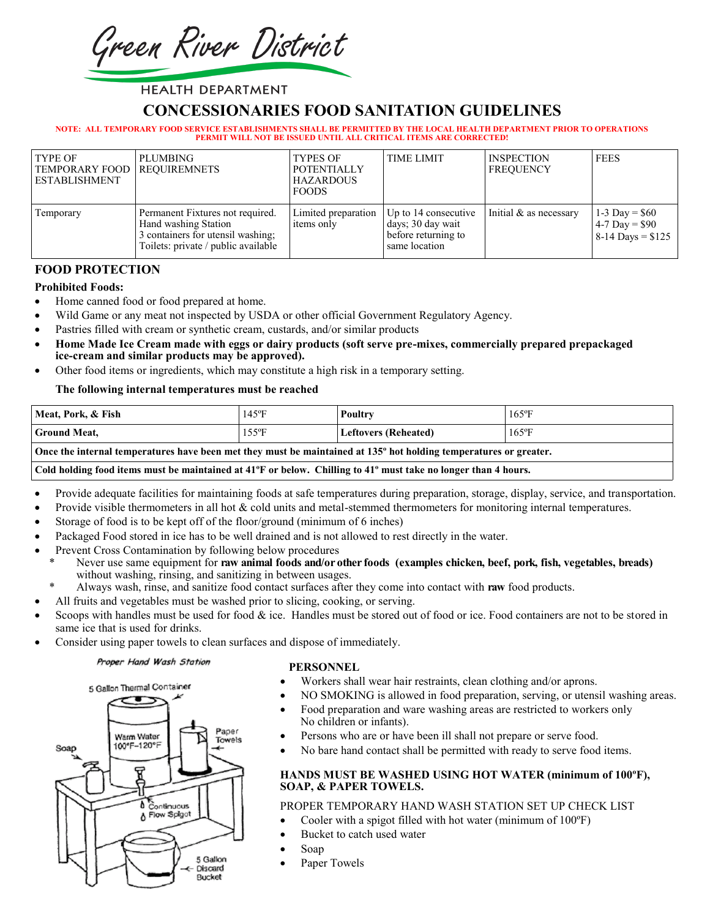Green River District

# **HEALTH DEPARTMENT**

# **CONCESSIONARIES FOOD SANITATION GUIDELINES**

#### **NOTE: ALL TEMPORARY FOOD SERVICE ESTABLISHMENTS SHALL BE PERMITTED BY THE LOCAL HEALTH DEPARTMENT PRIOR TO OPERATIONS PERMIT WILL NOT BE ISSUED UNTIL ALL CRITICAL ITEMS ARE CORRECTED!**

| TYPE OF<br>TEMPORARY FOOD   REQUIREMNETS<br><b>ESTABLISHMENT</b> | PLUMBING                                                                                                                             | <b>TYPES OF</b><br><b>POTENTIALLY</b><br><b>HAZARDOUS</b><br><b>FOODS</b> | <b>TIME LIMIT</b>                                                                 | <b>INSPECTION</b><br><b>FREQUENCY</b> | <b>FEES</b>                                               |
|------------------------------------------------------------------|--------------------------------------------------------------------------------------------------------------------------------------|---------------------------------------------------------------------------|-----------------------------------------------------------------------------------|---------------------------------------|-----------------------------------------------------------|
| Temporary                                                        | Permanent Fixtures not required.<br>Hand washing Station<br>3 containers for utensil washing;<br>Toilets: private / public available | Limited preparation<br>items only                                         | Up to 14 consecutive<br>days; 30 day wait<br>before returning to<br>same location | Initial & as necessary                | 1-3 Day = $$60$<br>4-7 Day = $$90$<br>$8-14$ Days = \$125 |

# **FOOD PROTECTION**

### **Prohibited Foods:**

- Home canned food or food prepared at home.
- Wild Game or any meat not inspected by USDA or other official Government Regulatory Agency.
- Pastries filled with cream or synthetic cream, custards, and/or similar products
- **Home Made Ice Cream made with eggs or dairy products (soft serve pre-mixes, commercially prepared prepackaged ice-cream and similar products may be approved).**
- Other food items or ingredients, which may constitute a high risk in a temporary setting.

### **The following internal temperatures must be reached**

| Meat, Pork, & Fish                                                                                                | $145^{\circ}F$ | Poultry                     | $165$ °F |  |
|-------------------------------------------------------------------------------------------------------------------|----------------|-----------------------------|----------|--|
| <b>Ground Meat,</b>                                                                                               | 155°F          | <b>Leftovers (Reheated)</b> | $165$ °F |  |
| Once the internal temperatures have been met they must be maintained at 135° hot holding temperatures or greater. |                |                             |          |  |

#### **Cold holding food items must be maintained at 41ºF or below. Chilling to 41º must take no longer than 4 hours.**

- Provide adequate facilities for maintaining foods at safe temperatures during preparation, storage, display, service, and transportation.
- Provide visible thermometers in all hot & cold units and metal-stemmed thermometers for monitoring internal temperatures.
- Storage of food is to be kept off of the floor/ground (minimum of 6 inches)
- Packaged Food stored in ice has to be well drained and is not allowed to rest directly in the water.
- Prevent Cross Contamination by following below procedures
	- Never use same equipment for **raw animal foods and/or other foods (examples chicken, beef, pork, fish, vegetables, breads)** without washing, rinsing, and sanitizing in between usages.
	- \* Always wash, rinse, and sanitize food contact surfaces after they come into contact with **raw** food products.
- All fruits and vegetables must be washed prior to slicing, cooking, or serving.
- Scoops with handles must be used for food & ice. Handles must be stored out of food or ice. Food containers are not to be stored in same ice that is used for drinks.
- Consider using paper towels to clean surfaces and dispose of immediately.

#### Proper Hand Wash Station



# **PERSONNEL**

- Workers shall wear hair restraints, clean clothing and/or aprons.
- NO SMOKING is allowed in food preparation, serving, or utensil washing areas.
- Food preparation and ware washing areas are restricted to workers only No children or infants).
- Persons who are or have been ill shall not prepare or serve food.
- No bare hand contact shall be permitted with ready to serve food items.

### **HANDS MUST BE WASHED USING HOT WATER (minimum of 100ºF), SOAP, & PAPER TOWELS.**

# PROPER TEMPORARY HAND WASH STATION SET UP CHECK LIST

- Cooler with a spigot filled with hot water (minimum of 100°F)
- Bucket to catch used water
- Soap
- Paper Towels